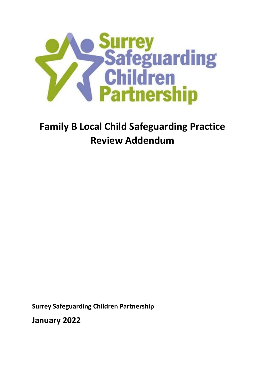

# **Family B Local Child Safeguarding Practice Review Addendum**

**Surrey Safeguarding Children Partnership**

**January 2022**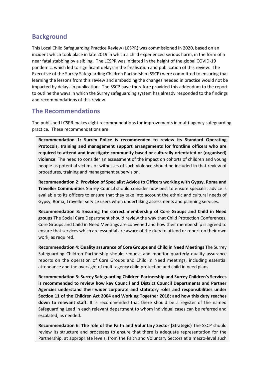# **Background**

This Local Child Safeguarding Practice Review (LCSPR) was commissioned in 2020, based on an incident which took place in late 2019 in which a child experienced serious harm, in the form of a near fatal stabbing by a sibling. The LCSPR was initiated in the height of the global COVID-19 pandemic, which led to significant delays in the finalisation and publication of this review. The Executive of the Surrey Safeguarding Children Partnership (SSCP) were committed to ensuring that learning the lessons from this review and embedding the changes needed in practice would not be impacted by delays in publication. The SSCP have therefore provided this addendum to the report to outline the ways in which the Surrey safeguarding system has already responded to the findings and recommendations of this review.

# **The Recommendations**

The published LCSPR makes eight recommendations for improvements in multi-agency safeguarding practice. These recommendations are:

**Recommendation 1: Surrey Police is recommended to review its Standard Operating Protocols, training and management support arrangements for frontline officers who are required to attend and investigate community based or culturally orientated or (organised) violence**. The need to consider an assessment of the impact on cohorts of children and young people as potential victims or witnesses of such violence should be included in that review of procedures, training and management supervision.

**Recommendation 2: Provision of Specialist Advice to Officers working with Gypsy, Roma and Traveller Communities** Surrey Council should consider how best to ensure specialist advice is available to its officers to ensure that they take into account the ethnic and cultural needs of Gypsy, Roma, Traveller service users when undertaking assessments and planning services.

**Recommendation 3: Ensuring the correct membership of Core Groups and Child in Need groups** The Social Care Department should review the way that Child Protection Conferences, Core Groups and Child in Need Meetings are convened and how their membership is agreed to ensure that services which are essential are aware of the duty to attend or report on their own work, as required.

**Recommendation 4: Quality assurance of Core Groups and Child in Need Meetings** The Surrey Safeguarding Children Partnership should request and monitor quarterly quality assurance reports on the operation of Core Groups and Child in Need meetings, including essential attendance and the oversight of multi-agency child protection and child in need plans

**Recommendation 5: Surrey Safeguarding Children Partnership and Surrey Children's Services is recommended to review how key Council and District Council Departments and Partner Agencies understand their wider corporate and statutory roles and responsibilities under Section 11 of the Children Act 2004 and Working Together 2018; and how this duty reaches down to relevant staff.** It is recommended that there should be a register of the named Safeguarding Lead in each relevant department to whom individual cases can be referred and escalated, as needed.

**Recommendation 6**: **The role of the Faith and Voluntary Sector (Strategic)** The SSCP should review its structure and processes to ensure that there is adequate representation for the Partnership, at appropriate levels, from the Faith and Voluntary Sectors at a macro-level such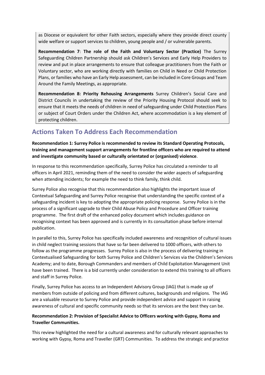as Diocese or equivalent for other Faith sectors, especially where they provide direct county wide welfare or support services to children, young people and / or vulnerable parents.

**Recommendation 7**: **The role of the Faith and Voluntary Sector (Practice)** The Surrey Safeguarding Children Partnership should ask Children's Services and Early Help Providers to review and put in place arrangements to ensure that colleague practitioners from the Faith or Voluntary sector, who are working directly with families on Child in Need or Child Protection Plans, or families who have an Early Help assessment, can be included in Core Groups and Team Around the Family Meetings, as appropriate.

**Recommendation 8: Priority Rehousing Arrangements** Surrey Children's Social Care and District Councils in undertaking the review of the Priority Housing Protocol should seek to ensure that it meets the needs of children in need of safeguarding under Child Protection Plans or subject of Court Orders under the Children Act, where accommodation is a key element of protecting children.

# **Actions Taken To Address Each Recommendation**

**Recommendation 1: Surrey Police is recommended to review its Standard Operating Protocols, training and management support arrangements for frontline officers who are required to attend and investigate community based or culturally orientated or (organised) violence**.

In response to this recommendation specifically, Surrey Police has circulated a reminder to all officers in April 2021, reminding them of the need to consider the wider aspects of safeguarding when attending incidents; for example the need to think family, think child.

Surrey Police also recognise that this recommendation also highlights the important issue of Contextual Safeguarding and Surrey Police recognise that understanding the specific context of a safeguarding incident is key to adopting the appropriate policing response. Surrey Police is in the process of a significant upgrade to their Child Abuse Policy and Procedure and Officer training programme. The first draft of the enhanced policy document which includes guidance on recognising context has been approved and is currently in its consultation phase before internal publication.

In parallel to this, Surrey Police has specifically included awareness and recognition of cultural issues in child neglect training sessions that have so far been delivered to 1000 officers, with others to follow as the programme progresses. Surrey Police is also in the process of delivering training in Contextualised Safeguarding for both Surrey Police and Children's Services via the Children's Services Academy; and to date, Borough Commanders and members of Child Exploitation Management Unit have been trained. There is a bid currently under consideration to extend this training to all officers and staff in Surrey Police.

Finally, Surrey Police has access to an Independent Advisory Group (IAG) that is made up of members from outside of policing and from different cultures, backgrounds and religions. The IAG are a valuable resource to Surrey Police and provide independent advice and support in raising awareness of cultural and specific community needs so that its services are the best they can be.

## **Recommendation 2: Provision of Specialist Advice to Officers working with Gypsy, Roma and Traveller Communities.**

This review highlighted the need for a cultural awareness and for culturally relevant approaches to working with Gypsy, Roma and Traveller (GRT) Communities. To address the strategic and practice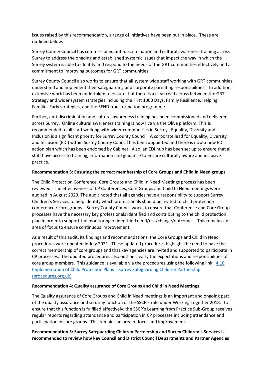issues raised by this recommendation, a range of initiatives have been put in place. These are outlined below.

Surrey County Council has commissioned anti-discrimination and cultural awareness training across Surrey to address the ongoing and established systemic issues that impact the way in which the Surrey system is able to identify and respond to the needs of the GRT communities effectively and a commitment to improving outcomes for GRT communities.

Surrey County Council also works to ensure that all system wide staff working with GRT communities understand and implement their safeguarding and corporate parenting responsibilities. In addition, extensive work has been undertaken to ensure that there is a clear read across between the GRT Strategy and wider system strategies including the First 1000 Days, Family Resilience, Helping Families Early strategies, and the SEND transformation programme.

Further, anti-discrimination and cultural awareness training has been commissioned and delivered across Surrey. Online cultural awareness training is now live via the Olive platform. This is recommended to all staff working with wider communities in Surrey. Equality, Diversity and Inclusion is a significant priority for Surrey County Council. A corporate lead for Equality, Diversity and Inclusion (EDI) within Surrey County Council has been appointed and there is now a new EDI action plan which has been endorsed by Cabinet. Also, an EDI hub has been set up to ensure that all staff have access to training, information and guidance to ensure culturally aware and inclusive practice.

#### **Recommendation 3: Ensuring the correct membership of Core Groups and Child in Need groups**

The Child Protection Conference, Core Groups and Child In Need Meetings process has been reviewed. The effectiveness of CP Conferences, Core Groups and Child In Need meetings were audited in August 2020. The audit noted that all agencies have a responsibility to support Surrey Children's Services to help identify which professionals should be invited to child protection conference / core groups. Surrey County Council works to ensure that Conference and Core Group processes have the necessary key professionals identified and contributing to the child protection plan in order to support the monitoring of identified need/risk/change/outcomes. This remains an area of focus to ensure continuous improvement.

As a result of this audit, its findings and recommendations, the Core Groups and Child in Need procedures were updated in July 2021. These updated procedures highlight the need to have the correct membership of core groups and that key agencies are invited and supported to participate in CP processes. The updated procedures also outline clearly the expectations and responsibilities of core group members. This guidance is available via the procedures using the following link: [4.10](https://surreyscb.procedures.org.uk/zkyqzl/managing-individual-cases/implementing-the-child-protection-plan-including-the-lead-social-worker-and-core-group-responsibilities#s4648)  [Implementation of Child Protection Plans | Surrey Safeguarding Children Partnership](https://surreyscb.procedures.org.uk/zkyqzl/managing-individual-cases/implementing-the-child-protection-plan-including-the-lead-social-worker-and-core-group-responsibilities#s4648)  [\(procedures.org.uk\)](https://surreyscb.procedures.org.uk/zkyqzl/managing-individual-cases/implementing-the-child-protection-plan-including-the-lead-social-worker-and-core-group-responsibilities#s4648)

#### **Recommendation 4: Quality assurance of Core Groups and Child in Need Meetings**

The Quality assurance of Core Groups and Child in Need meetings is an important and ongoing part of the quality assurance and scrutiny function of the SSCP's role under Working Together 2018. To ensure that this function is fulfilled effectively, the SSCP's Learning from Practice Sub-Group receives regular reports regarding attendance and participation in CP processes including attendance and participation in core groups. This remains an area of focus and improvement.

**Recommendation 5: Surrey Safeguarding Children Partnership and Surrey Children's Services is recommended to review how key Council and District Council Departments and Partner Agencies**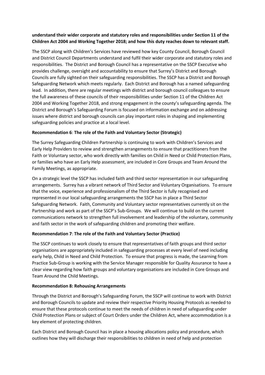## **understand their wider corporate and statutory roles and responsibilities under Section 11 of the Children Act 2004 and Working Together 2018; and how this duty reaches down to relevant staff.**

The SSCP along with Children's Services have reviewed how key County Council, Borough Council and District Council Departments understand and fulfil their wider corporate and statutory roles and responsibilities. The District and Borough Council has a representative on the SSCP Executive who provides challenge, oversight and accountability to ensure that Surrey's District and Borough Councils are fully sighted on their safeguarding responsibilities. The SSCP has a District and Borough Safeguarding Network which meets regularly. Each District and Borough has a named safeguarding lead. In addition, there are regular meetings with district and borough council colleagues to ensure the full awareness of these councils of their responsibilities under Section 11 of the Children Act 2004 and Working Together 2018, and strong engagement in the county's safeguarding agenda. The District and Borough's Safeguarding Forum is focused on information exchange and on addressing issues where district and borough councils can play important roles in shaping and implementing safeguarding policies and practice at a local level.

## **Recommendation 6**: **The role of the Faith and Voluntary Sector (Strategic)**

The Surrey Safeguarding Children Partnership is continuing to work with Children's Services and Early Help Providers to review and strengthen arrangements to ensure that practitioners from the Faith or Voluntary sector, who work directly with families on Child in Need or Child Protection Plans, or families who have an Early Help assessment, are included in Core Groups and Team Around the Family Meetings, as appropriate.

On a strategic level the SSCP has included faith and third sector representation in our safeguarding arrangements. Surrey has a vibrant network of Third Sector and Voluntary Organisations. To ensure that the voice, experience and professionalism of the Third Sector is fully recognised and represented in our local safeguarding arrangements the SSCP has in place a Third Sector Safeguarding Network. Faith, Community and Voluntary sector representatives currently sit on the Partnership and work as part of the SSCP's Sub-Groups. We will continue to build on the current communications network to strengthen full involvement and leadership of the voluntary, community and faith sector in the work of safeguarding children and promoting their welfare.

## **Recommendation 7**: **The role of the Faith and Voluntary Sector (Practice)**

The SSCP continues to work closely to ensure that representatives of faith groups and third sector organisations are appropriately included in safeguarding processes at every level of need including early help, Child in Need and Child Protection. To ensure that progress is made, the Learning from Practice Sub-Group is working with the Service Manager responsible for Quality Assurance to have a clear view regarding how faith groups and voluntary organisations are included in Core Groups and Team Around the Child Meetings.

#### **Recommendation 8: Rehousing Arrangements**

Through the District and Borough's Safeguarding Forum, the SSCP will continue to work with District and Borough Councils to update and review their respective Priority Housing Protocols as needed to ensure that these protocols continue to meet the needs of children in need of safeguarding under Child Protection Plans or subject of Court Orders under the Children Act, where accommodation is a key element of protecting children.

Each District and Borough Council has in place a housing allocations policy and procedure, which outlines how they will discharge their responsibilities to children in need of help and protection